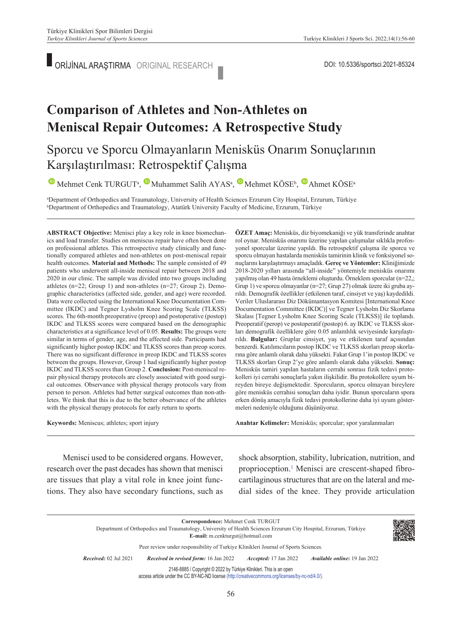ORİJİNAL ARAŞTIRMA ORIGINAL RESEARCH DOI: 10.5336/sportsci.2021-85324

# **Comparison of Athletes and Non-Athletes on Meniscal Repair Outcomes: A Retrospective Study**

### Sporcu ve Sporcu Olmayanların Menisküs Onarım Sonuçlarının Karşılaştırılması: Retrospektif Çalışma

 $\bullet$ Mehmet Cenk TURGUT<sup>a</sup>,  $\bullet$  Muhammet Salih AYAS<sup>a</sup>,  $\bullet$  Mehmet KÖSE<sup>b</sup>,  $\bullet$  Ahmet KÖSE<sup>a</sup>

a Department of Orthopedics and Traumatology, University of Health Sciences Erzurum City Hospital, Erzurum, Türkiye b Department of Orthopedics and Traumatology, Atatürk University Faculty of Medicine, Erzurum, Türkiye

**ABS TRACT Objective:** Menisci play a key role in knee biomechanics and load transfer. Studies on meniscus repair have often been done on professional athletes. This retrospective study clinically and functionally compared athletes and non-athletes on post-meniscal repair health outcomes. **Material and Methods:** The sample consisted of 49 patients who underwent all-inside meniscal repair between 2018 and 2020 in our clinic. The sample was divided into two groups including athletes (n=22; Group 1) and non-athletes (n=27; Group 2). Demographic characteristics (affected side, gender, and age) were recorded. Data were collected using the International Knee Documentation Committee (IKDC) and Tegner Lysholm Knee Scoring Scale (TLKSS) scores. The 6th-month preoperative (preop) and postoperative (postop) IKDC and TLKSS scores were compared based on the demographic characteristics at a significance level of 0.05. **Results:** The groups were similar in terms of gender, age, and the affected side. Participants had significantly higher postop IKDC and TLKSS scores than preop scores. There was no significant difference in preop IKDC and TLKSS scores between the groups. However, Group 1 had significantly higher postop IKDC and TLKSS scores than Group 2. **Conclusion:** Post-meniscal repair physical therapy protocols are closely associated with good surgical outcomes. Observance with physical therapy protocols vary from person to person. Athletes had better surgical outcomes than non-athletes. We think that this is due to the better observance of the athletes with the physical therapy protocols for early return to sports.

**Keywords:** Meniscus; athletes; sport injury

**ÖZET Amaç:** Menisküs, diz biyomekaniği ve yük transferinde anahtar rol oynar. Menisküs onarımı üzerine yapılan çalışmalar sıklıkla profosyonel sporcular üzerine yapıldı. Bu retrospektif çalışma ile sporcu ve sporcu olmayan hastalarda menisküs tamirinin klinik ve fonksiyonel sonuçlarını karşılaştırmayı amaçladık. **Gereç ve Yöntemler:** Kliniğimizde 2018-2020 yılları arasında "all-inside" yöntemiyle menisküs onarımı yapılmış olan 49 hasta örneklemi oluşturdu. Örneklem sporcular (n=22,; Grup 1) ve sporcu olmayanlar (n=27; Grup 27) olmak üzere iki gruba ayrıldı. Demografik özellikler (etkilenen taraf, cinsiyet ve yaş) kaydedildi. Veriler Uluslararası Diz Dökümantasyon Komitesi [International Knee Documentation Committee (IKDC)] ve Tegner Lysholm Diz Skorlama Skalası [Tegner Lysholm Knee Scoring Scale (TLKSS)] ile toplandı. Preoperatif (perop) ve postoperatif (postop) 6. ay IKDC ve TLKSS skorları demografik özelliklere göre 0.05 anlamlılık seviyesinde karşılaştırıldı. **Bulgular:** Gruplar cinsiyet, yaş ve etkilenen taraf açısından benzerdi. Katılımcıların postop IKDC ve TLKSS skorları preop skorlarına göre anlamlı olarak daha yüksekti. Fakat Grup 1'in postop IKDC ve TLKSS skorları Grup 2'ye göre anlamlı olarak daha yüksekti. **Sonuç:**  Menisküs tamiri yapılan hastaların cerrahi sonrası fizik tedavi protokolleri iyi cerrahi sonuçlarla yakın ilişkilidir. Bu protokollere uyum bireyden bireye değişmektedir. Sporcuların, sporcu olmayan bireylere göre menisküs cerrahisi sonuçları daha iyidir. Bunun sporcuların spora erken dönüş amacıyla fizik tedavi protokollerine daha iyi uyum göstermeleri nedeniyle olduğunu düşünüyoruz.

Anahtar Kelimeler: Menisküs; sporcular; spor yaralanmaları

Menisci used to be considered organs. However, research over the past decades has shown that menisci are tissues that play a vital role in knee joint functions. They also have secondary functions, such as shock absorption, stability, lubrication, nutrition, and proprioception.<sup>1</sup> Menisci are crescent-shaped fibrocartilaginous structures that are on the lateral and medial sides of the knee. They provide articulation

| Correspondence: Mehmet Cenk TURGUT<br>Department of Orthopedics and Traumatology, University of Health Sciences Erzurum City Hospital, Erzurum, Türkiye<br>E-mail: m.cenkturgut@hotmail.com |                                       |                              |                                       |  |  |  |
|---------------------------------------------------------------------------------------------------------------------------------------------------------------------------------------------|---------------------------------------|------------------------------|---------------------------------------|--|--|--|
| Peer review under responsibility of Turkiye Klinikleri Journal of Sports Sciences.                                                                                                          |                                       |                              |                                       |  |  |  |
| <i>Received:</i> 02 Jul 2021                                                                                                                                                                | Received in revised form: 16 Jan 2022 | <i>Accepted:</i> 17 Jan 2022 | <i>Available online</i> : 19 Jan 2022 |  |  |  |
| 2146-8885 / Copyright © 2022 by Türkiye Klinikleri. This is an open<br>access article under the CC BY-NC-ND license (http://creativecommons.org/licenses/by-nc-nd/4.0/).                    |                                       |                              |                                       |  |  |  |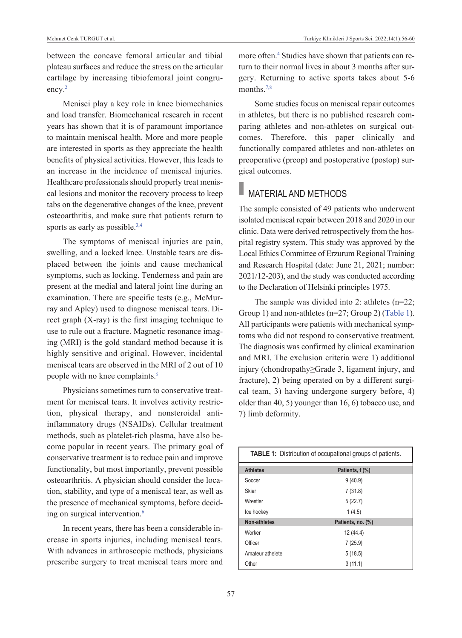between the concave femoral articular and tibial plateau surfaces and reduce the stress on the articular cartilage by increasing tibiofemoral joint congruency.<sup>2</sup>

Menisci play a key role in knee biomechanics and load transfer. Biomechanical research in recent years has shown that it is of paramount importance to maintain meniscal health. More and more people are interested in sports as they appreciate the health benefits of physical activities. However, this leads to an increase in the incidence of meniscal injuries. Healthcare professionals should properly treat meniscal lesions and monitor the recovery process to keep tabs on the degenerative changes of the knee, prevent osteoarthritis, and make sure that patients return to sports as early as possible.<sup>3,4</sup>

The symptoms of meniscal injuries are pain, swelling, and a locked knee. Unstable tears are displaced between the joints and cause mechanical symptoms, such as locking. Tenderness and pain are present at the medial and lateral joint line during an examination. There are specific tests (e.g., McMurray and Apley) used to diagnose meniscal tears. Direct graph (X-ray) is the first imaging technique to use to rule out a fracture. Magnetic resonance imaging (MRI) is the gold standard method because it is highly sensitive and original. However, incidental meniscal tears are observed in the MRI of 2 out of 10 people with no knee complaints.<sup>5</sup>

Physicians sometimes turn to conservative treatment for meniscal tears. It involves activity restriction, physical therapy, and nonsteroidal antiinflammatory drugs (NSAIDs). Cellular treatment methods, such as platelet-rich plasma, have also become popular in recent years. The primary goal of conservative treatment is to reduce pain and improve functionality, but most importantly, prevent possible osteoarthritis. A physician should consider the location, stability, and type of a meniscal tear, as well as the presence of mechanical symptoms, before deciding on surgical intervention.<sup>6</sup>

In recent years, there has been a considerable increase in sports injuries, including meniscal tears. With advances in arthroscopic methods, physicians prescribe surgery to treat meniscal tears more and

more often.<sup>4</sup> Studies have shown that patients can return to their normal lives in about 3 months after surgery. Returning to active sports takes about 5-6 months.<sup>7,8</sup>

Some studies focus on meniscal repair outcomes in athletes, but there is no published research comparing athletes and non-athletes on surgical outcomes. Therefore, this paper clinically and functionally compared athletes and non-athletes on preoperative (preop) and postoperative (postop) surgical outcomes.

### **MATERIAL AND METHODS**

The sample consisted of 49 patients who underwent isolated meniscal repair between 2018 and 2020 in our clinic. Data were derived retrospectively from the hospital registry system. This study was approved by the Local Ethics Committee of Erzurum Regional Training and Research Hospital (date: June 21, 2021; number: 2021/12-203), and the study was conducted according to the Declaration of Helsinki principles 1975.

The sample was divided into 2: athletes (n=22; Group 1) and non-athletes (n=27; Group 2) [\(Table 1\)](#page-1-0). All participants were patients with mechanical symptoms who did not respond to conservative treatment. The diagnosis was confirmed by clinical examination and MRI. The exclusion criteria were 1) additional injury (chondropathy≥Grade 3, ligament injury, and fracture), 2) being operated on by a different surgical team, 3) having undergone surgery before, 4) older than 40, 5) younger than 16, 6) tobacco use, and 7) limb deformity.

<span id="page-1-0"></span>

| <b>TABLE 1:</b> Distribution of occupational groups of patients. |                   |  |  |  |
|------------------------------------------------------------------|-------------------|--|--|--|
| <b>Athletes</b>                                                  | Patients, f (%)   |  |  |  |
| Soccer                                                           | 9(40.9)           |  |  |  |
| Skier                                                            | 7(31.8)           |  |  |  |
| Wrestler                                                         | 5(22.7)           |  |  |  |
| Ice hockey                                                       | 1(4.5)            |  |  |  |
| Non-athletes                                                     | Patients, no. (%) |  |  |  |
| Worker                                                           | 12 (44.4)         |  |  |  |
| Officer                                                          | 7(25.9)           |  |  |  |
| Amateur athelete                                                 | 5(18.5)           |  |  |  |
| Other                                                            | 3(11.1)           |  |  |  |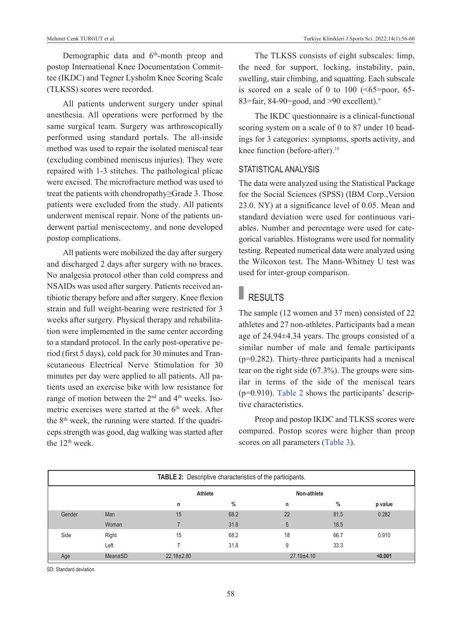Demographic data and 6<sup>th</sup>-month preop and postop International Knee Documentation Committee (IKDC) and Tegner Lysholm Knee Scoring Scale (TLKSS) scores were recorded.

All patients underwent surgery under spinal anesthesia. All operations were performed by the same surgical team. Surgery was arthroscopically performed using standard portals. The all-inside method was used to repair the isolated meniscal tear (excluding combined meniscus injuries). They were repaired with 1-3 stitches. The pathological plicae were excised. The microfracture method was used to treat the patients with chondropathy≥Grade 3. Those patients were excluded from the study. All patients underwent meniscal repair. None of the patients underwent partial meniscectomy, and none developed postop complications.

All patients were mobilized the day after surgery and discharged 2 days after surgery with no braces. No analgesia protocol other than cold compress and NSAIDs was used after surgery. Patients received antibiotic therapy before and after surgery. Knee flexion strain and full weight-bearing were restricted for 3 weeks after surgery. Physical therapy and rehabilitation were implemented in the same center according to a standard protocol. In the early post-operative period (first 5 days), cold pack for 30 minutes and Transcutaneous Electrical Nerve Stimulation for 30 minutes per day were applied to all patients. All patients used an exercise bike with low resistance for range of motion between the  $2<sup>nd</sup>$  and  $4<sup>th</sup>$  weeks. Isometric exercises were started at the 6<sup>th</sup> week. After the  $8<sup>th</sup>$  week, the running were started. If the quadriceps strength was good, dag walking was started after the 12<sup>th</sup> week.

The TLKSS consists of eight subscales: limp, the need for support, locking, instability, pain, swelling, stair climbing, and squatting. Each subscale is scored on a scale of 0 to 100  $(55=poor, 65-$ 83=fair, 84-90=good, and >90 excellent).<sup>9</sup>

The IKDC questionnaire is a clinical-functional scoring system on a scale of 0 to 87 under 10 headings for 3 categories: symptoms, sports activity, and knee function (before-after).<sup>10</sup>

#### STATISTICAL ANALYSIS

The data were analyzed using the Statistical Package for the Social Sciences (SPSS) (IBM Corp.,Version 23.0. NY) at a significance level of 0.05. Mean and standard deviation were used for continuous variables. Number and percentage were used for categorical variables. Histograms were used for normality testing. Repeated numerical data were analyzed using the Wilcoxon test. The Mann-Whitney U test was used for inter-group comparison.

# RESULTS

The sample (12 women and 37 men) consisted of 22 athletes and 27 non-athletes. Participants had a mean age of 24.94±4.34 years. The groups consisted of a similar number of male and female participants  $(p=0.282)$ . Thirty-three participants had a meniscal tear on the right side (67.3%). The groups were similar in terms of the side of the meniscal tears (p=0.910). [Table 2](#page-2-0) shows the participants' descriptive characteristics.

<span id="page-2-0"></span>Preop and postop IKDC and TLKSS scores were compared. Postop scores were higher than preop scores on all parameters [\(Table 3\)](#page-3-0).

| <b>TABLE 2:</b> Descriptive characteristics of the participants. |               |                  |      |                |      |         |
|------------------------------------------------------------------|---------------|------------------|------|----------------|------|---------|
|                                                                  |               | Athlete          |      | Non-athlete    |      |         |
|                                                                  |               | n                | $\%$ | n              | $\%$ | p value |
| Gender                                                           | Man           | 15               | 68.2 | 22             | 81.5 | 0.282   |
|                                                                  | Woman         |                  | 31.8 | 5              | 18.5 |         |
| Side                                                             | Right         | 15               | 68.2 | 18             | 66.7 | 0.910   |
|                                                                  | Left          |                  | 31.8 | 9              | 33.3 |         |
| Age                                                              | $Mean \pm SD$ | $22.18 \pm 2.80$ |      | $27.19 + 4.10$ |      | < 0.001 |

SD: Standard deviation.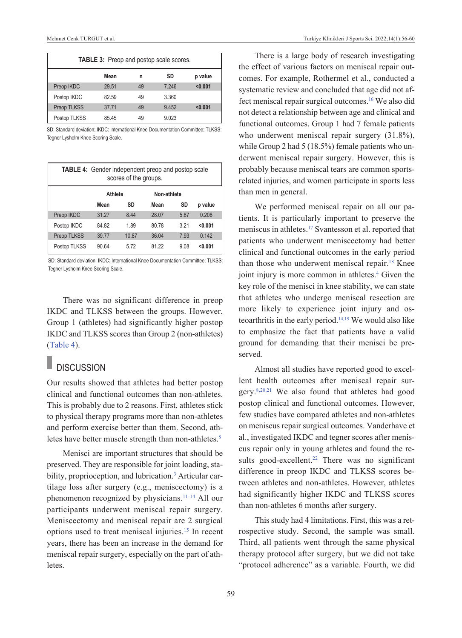| <b>TABLE 3:</b> Preop and postop scale scores. |       |    |       |         |
|------------------------------------------------|-------|----|-------|---------|
|                                                | Mean  | n  | SD    | p value |
| Preop IKDC                                     | 29.51 | 49 | 7.246 | < 0.001 |
| Postop IKDC                                    | 82.59 | 49 | 3.360 |         |
| <b>Preop TLKSS</b>                             | 37.71 | 49 | 9.452 | < 0.001 |
| Postop TLKSS                                   | 85.45 | 49 | 9.023 |         |

SD: Standard deviation; IKDC: International Knee Documentation Committee; TLKSS: Tegner Lysholm Knee Scoring Scale.

| <b>TABLE 4:</b> Gender independent preop and postop scale<br>scores of the groups. |                |       |             |       |         |
|------------------------------------------------------------------------------------|----------------|-------|-------------|-------|---------|
|                                                                                    | <b>Athlete</b> |       | Non-athlete |       |         |
|                                                                                    | Mean           | SD    | Mean        | SD    | p value |
| Preop IKDC                                                                         | 31.27          | 8.44  | 28.07       | 5.87  | 0.208   |
| Postop IKDC                                                                        | 84.82          | 1.89  | 80.78       | 3 2 1 | < 0.001 |
| <b>Preop TLKSS</b>                                                                 | 39.77          | 10.87 | 36.04       | 7 93  | 0.142   |
| Postop TLKSS                                                                       | 90.64          | 5.72  | 81 22       | 9.08  | < 0.001 |

SD: Standard deviation; IKDC: International Knee Documentation Committee; TLKSS: Tegner Lysholm Knee Scoring Scale.

There was no significant difference in preop IKDC and TLKSS between the groups. However, Group 1 (athletes) had significantly higher postop IKDC and TLKSS scores than Group 2 (non-athletes) [\(Table 4\)](#page-3-1).

### **DISCUSSION**

Our results showed that athletes had better postop clinical and functional outcomes than non-athletes. This is probably due to 2 reasons. First, athletes stick to physical therapy programs more than non-athletes and perform exercise better than them. Second, athletes have better muscle strength than non-athletes.<sup>8</sup>

Menisci are important structures that should be preserved. They are responsible for joint loading, stability, proprioception, and lubrication.<sup>3</sup> Articular cartilage loss after surgery (e.g., meniscectomy) is a phenomenon recognized by physicians[.11-14](#page-4-0) All our participants underwent meniscal repair surgery. Meniscectomy and meniscal repair are 2 surgical options used to treat meniscal injuries[.15](#page-4-0) In recent years, there has been an increase in the demand for meniscal repair surgery, especially on the part of athletes.

<span id="page-3-0"></span>There is a large body of research investigating the effect of various factors on meniscal repair outcomes. For example, Rothermel et al., conducted a systematic review and concluded that age did not affect meniscal repair surgical outcomes[.16](#page-4-0) We also did not detect a relationship between age and clinical and functional outcomes. Group 1 had 7 female patients who underwent meniscal repair surgery (31.8%), while Group 2 had 5 (18.5%) female patients who underwent meniscal repair surgery. However, this is probably because meniscal tears are common sportsrelated injuries, and women participate in sports less than men in general.

<span id="page-3-1"></span>We performed meniscal repair on all our patients. It is particularly important to preserve the meniscus in athletes[.17](#page-4-0) Svantesson et al. reported that patients who underwent meniscectomy had better clinical and functional outcomes in the early period than those who underwent meniscal repair.<sup>18</sup> Knee joint injury is more common in athletes.<sup>4</sup> Given the key role of the menisci in knee stability, we can state that athletes who undergo meniscal resection are more likely to experience joint injury and osteoarthritis in the early period[.14,19](#page-4-0) We would also like to emphasize the fact that patients have a valid ground for demanding that their menisci be preserved.

Almost all studies have reported good to excellent health outcomes after meniscal repair surgery[.8,20,21](#page-4-0) We also found that athletes had good postop clinical and functional outcomes. However, few studies have compared athletes and non-athletes on meniscus repair surgical outcomes. Vanderhave et al., investigated IKDC and tegner scores after meniscus repair only in young athletes and found the results good-excellent.<sup>22</sup> There was no significant difference in preop IKDC and TLKSS scores between athletes and non-athletes. However, athletes had significantly higher IKDC and TLKSS scores than non-athletes 6 months after surgery.

This study had 4 limitations. First, this was a retrospective study. Second, the sample was small. Third, all patients went through the same physical therapy protocol after surgery, but we did not take "protocol adherence" as a variable. Fourth, we did